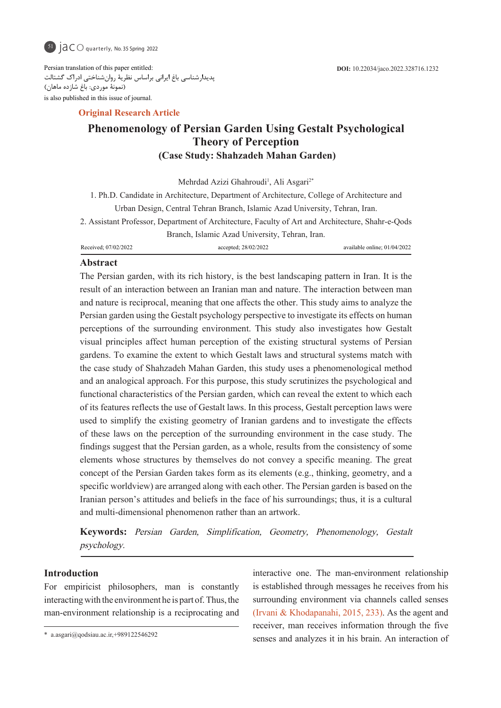

Persian translation of this paper entitled: پدیدارشناسی باغ ایرانی براساس نظریۀ روانشناختی ادراک گشتالت (نمونۀ موردی: باغ شازده ماهان) is also published in this issue of journal.

# **Article Research Article**

# **Phenomenology of Persian Garden Using Gestalt Psychological Theory** of Perception **(Case Study: Shahzadeh Mahan Garden)**

Mehrdad Azizi Ghahroudi<sup>1</sup>, Ali Asgari<sup>2\*</sup>

1. Ph.D. Candidate in Architecture, Department of Architecture, College of Architecture and Urban Design, Central Tehran Branch, Islamic Azad University, Tehran, Iran. 2. Assistant Professor, Department of Architecture, Faculty of Art and Architecture, Shahr-e-Qods Branch, Islamic Azad University, Tehran, Iran.

01/04/2022 ;online available 28/02/2022; accepted 07/02/2022; Received

# **Abstract**

The Persian garden, with its rich history, is the best landscaping pattern in Iran. It is the result of an interaction between an Iranian man and nature. The interaction between man and nature is reciprocal, meaning that one affects the other. This study aims to analyze the Persian garden using the Gestalt psychology perspective to investigate its effects on human perceptions of the surrounding environment. This study also investigates how Gestalt visual principles affect human perception of the existing structural systems of Persian gardens. To examine the extent to which Gestalt laws and structural systems match with the case study of Shahzadeh Mahan Garden, this study uses a phenomenological method and an analogical approach. For this purpose, this study scrutinizes the psychological and functional characteristics of the Persian garden, which can reveal the extent to which each of its features reflects the use of Gestalt laws. In this process, Gestalt perception laws were used to simplify the existing geometry of Iranian gardens and to investigate the effects of these laws on the perception of the surrounding environment in the case study. The findings suggest that the Persian garden, as a whole, results from the consistency of some elements whose structures by themselves do not convey a specific meaning. The great concept of the Persian Garden takes form as its elements (e.g., thinking, geometry, and a specific worldview) are arranged along with each other. The Persian garden is based on the Iranian person's attitudes and beliefs in the face of his surroundings; thus, it is a cultural and multi-dimensional phenomenon rather than an artwork.

Keywords: Persian Garden, Simplification, Geometry, Phenomenology, Gestalt psychology.

## **Introduction**

For empiricist philosophers, man is constantly interacting with the environment he is part of. Thus, the man-environment relationship is a reciprocating and interactive one. The man-environment relationship is established through messages he receives from his surrounding environment via channels called senses (Irvani & Khodapanahi, 2015, 233). As the agent and receiver, man receives information through the five senses and analyzes it in his brain. An interaction of

 $*$  a.asgari@qodsiau.ac.ir,+989122546292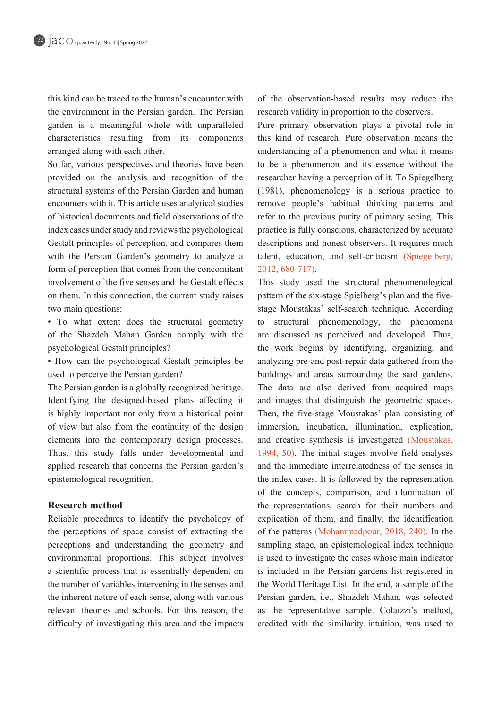this kind can be traced to the human's encounter with the environment in the Persian garden. The Persian garden is a meaningful whole with unparalleled characteristics resulting from its components arranged along with each other.

So far, various perspectives and theories have been provided on the analysis and recognition of the structural systems of the Persian Garden and human encounters with it. This article uses analytical studies of historical documents and field observations of the index cases under study and reviews the psychological Gestalt principles of perception, and compares them with the Persian Garden's geometry to analyze a form of perception that comes from the concomitant involvement of the five senses and the Gestalt effects on them. In this connection, the current study raises two main questions:

• To what extent does the structural geometry of the Shazdeh Mahan Garden comply with the psychological Gestalt principles?

• How can the psychological Gestalt principles be used to perceive the Persian garden?

The Persian garden is a globally recognized heritage. Identifying the designed-based plans affecting it is highly important not only from a historical point of view but also from the continuity of the design elements into the contemporary design processes. Thus, this study falls under developmental and applied research that concerns the Persian garden's epistemological recognition.

# **Research method**

Reliable procedures to identify the psychology of the perceptions of space consist of extracting the perceptions and understanding the geometry and environmental proportions. This subject involves a scientific process that is essentially dependent on the number of variables intervening in the senses and the inherent nature of each sense, along with various relevant theories and schools. For this reason, the difficulty of investigating this area and the impacts

of the observation-based results may reduce the research validity in proportion to the observers.

Pure primary observation plays a pivotal role in this kind of research. Pure observation means the understanding of a phenomenon and what it means to be a phenomenon and its essence without the researcher having a perception of it. To Spiegelberg  $(1981)$ , phenomenology is a serious practice to remove people's habitual thinking patterns and refer to the previous purity of primary seeing. This practice is fully conscious, characterized by accurate descriptions and honest observers. It requires much talent, education, and self-criticism (Spiegelberg, 2012, 680-717).

This study used the structural phenomenological stage Moustakas' self-search technique. According pattern of the six-stage Spielberg's plan and the fiveto structural phenomenology, the phenomena are discussed as perceived and developed. Thus, the work begins by identifying, organizing, and analyzing pre-and post-repair data gathered from the buildings and areas surrounding the said gardens. The data are also derived from acquired maps and images that distinguish the geometric spaces. Then, the five-stage Moustakas' plan consisting of immersion, incubation, illumination, explication, and creative synthesis is investigated (Moustakas, 1994,  $50$ ). The initial stages involve field analyses and the immediate interrelatedness of the senses in the index cases. It is followed by the representation of the concepts, comparison, and illumination of the representations, search for their numbers and explication of them, and finally, the identification of the patterns (Mohammadpour, 2018, 240). In the sampling stage, an epistemological index technique is used to investigate the cases whose main indicator is included in the Persian gardens list registered in the World Heritage List. In the end, a sample of the Persian garden, i.e., Shazdeh Mahan, was selected as the representative sample. Colaizzi's method, credited with the similarity intuition, was used to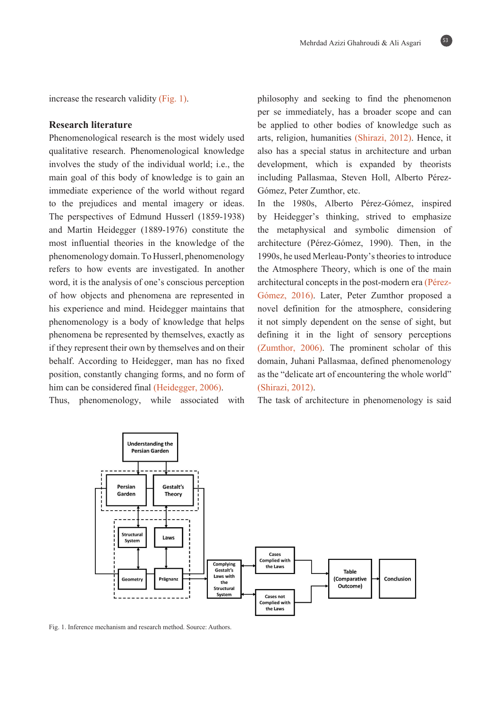increase the research validity  $(Fig, 1)$ .

# **Research literature**

Phenomenological research is the most widely used qualitative research. Phenomenological knowledge involves the study of the individual world; i.e., the main goal of this body of knowledge is to gain an immediate experience of the world without regard to the prejudices and mental imagery or ideas. The perspectives of Edmund Husserl (1859-1938) and Martin Heidegger (1889-1976) constitute the most influential theories in the knowledge of the phenomenology domain. To Husserl, phenomenology refers to how events are investigated. In another word, it is the analysis of one's conscious perception of how objects and phenomena are represented in his experience and mind. Heidegger maintains that phenomenology is a body of knowledge that helps phenomena be represented by themselves, exactly as if they represent their own by themselves and on their behalf. According to Heidegger, man has no fixed position, constantly changing forms, and no form of him can be considered final (Heidegger, 2006).

Thus, phenomenology, while associated with

philosophy and seeking to find the phenomenon per se immediately, has a broader scope and can be applied to other bodies of knowledge such as arts, religion, humanities (Shirazi, 2012). Hence, it also has a special status in architecture and urban development, which is expanded by theorists including Pallasmaa, Steven Holl, Alberto Pérez-<br>Gómez, Peter Zumthor, etc.

In the 1980s, Alberto Pérez-Gómez, inspired by Heidegger's thinking, strived to emphasize the metaphysical and symbolic dimension of architecture (Pérez-Gómez, 1990). Then, in the 1990s, he used Merleau-Ponty's theories to introduce the Atmosphere Theory, which is one of the main Gómez, 2016). Later, Peter Zumthor proposed a architectural concepts in the post-modern era (Péreznovel definition for the atmosphere, considering it not simply dependent on the sense of sight, but defining it in the light of sensory perceptions (Zumthor,  $2006$ ). The prominent scholar of this domain, Juhani Pallasmaa, defined phenomenology as the "delicate art of encountering the whole world" (Shirazi, 2012).

The task of architecture in phenomenology is said



Fig. 1. Inference mechanism and research method. Source: Authors.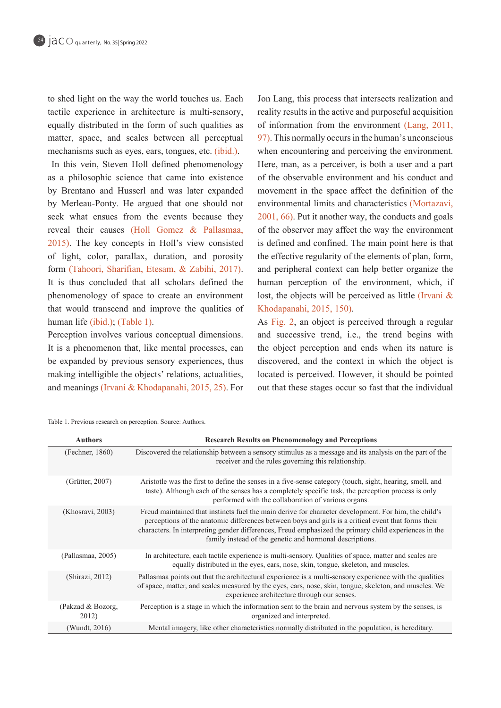to shed light on the way the world touches us. Each tactile experience in architecture is multi-sensory, equally distributed in the form of such qualities as matter, space, and scales between all perceptual mechanisms such as eyes, ears, tongues, etc. (ibid.).

In this vein, Steven Holl defined phenomenology as a philosophic science that came into existence by Brentano and Husserl and was later expanded by Merleau-Ponty. He argued that one should not seek what ensues from the events because they reveal their causes (Holl Gomez & Pallasmaa,  $2015$ ). The key concepts in Holl's view consisted of light, color, parallax, duration, and porosity form (Tahoori, Sharifian, Etesam, & Zabihi, 2017). It is thus concluded that all scholars defined the phenomenology of space to create an environment that would transcend and improve the qualities of human life (ibid.); (Table 1).

Perception involves various conceptual dimensions. It is a phenomenon that, like mental processes, can be expanded by previous sensory experiences, thus making intelligible the objects' relations, actualities, and meanings (Irvani & Khodapanahi, 2015, 25). For Jon Lang, this process that intersects realization and reality results in the active and purposeful acquisition of information from the environment  $(Lang, 2011,$  $97$ . This normally occurs in the human's unconscious when encountering and perceiving the environment. Here, man, as a perceiver, is both a user and a part of the observable environment and his conduct and movement in the space affect the definition of the environmental limits and characteristics (Mortazavi,  $2001, 66$ ). Put it another way, the conducts and goals of the observer may affect the way the environment is defined and confined. The main point here is that the effective regularity of the elements of plan, form, and peripheral context can help better organize the human perception of the environment, which, if lost, the objects will be perceived as little (Irvani  $\&$ Khodapanahi, 2015, 150).

As Fig. 2, an object is perceived through a regular and successive trend, i.e., the trend begins with the object perception and ends when its nature is discovered, and the context in which the object is located is perceived. However, it should be pointed out that these stages occur so fast that the individual

Table 1. Previous research on perception. Source: Authors.

| <b>Authors</b>             | <b>Research Results on Phenomenology and Perceptions</b>                                                                                                                                                                                                                                                                                                                         |  |  |  |
|----------------------------|----------------------------------------------------------------------------------------------------------------------------------------------------------------------------------------------------------------------------------------------------------------------------------------------------------------------------------------------------------------------------------|--|--|--|
| (Fechner, 1860)            | Discovered the relationship between a sensory stimulus as a message and its analysis on the part of the<br>receiver and the rules governing this relationship.                                                                                                                                                                                                                   |  |  |  |
| (Grütter, $2007$ )         | Aristotle was the first to define the senses in a five-sense category (touch, sight, hearing, smell, and<br>taste). Although each of the senses has a completely specific task, the perception process is only<br>performed with the collaboration of various organs.                                                                                                            |  |  |  |
| (Khosravi, 2003)           | Freud maintained that instincts fuel the main derive for character development. For him, the child's<br>perceptions of the anatomic differences between boys and girls is a critical event that forms their<br>characters. In interpreting gender differences, Freud emphasized the primary child experiences in the<br>family instead of the genetic and hormonal descriptions. |  |  |  |
| (Pallasmaa, 2005)          | In architecture, each tactile experience is multi-sensory. Qualities of space, matter and scales are<br>equally distributed in the eyes, ears, nose, skin, tongue, skeleton, and muscles.                                                                                                                                                                                        |  |  |  |
| (Shirazi, 2012)            | Pallasmaa points out that the architectural experience is a multi-sensory experience with the qualities<br>of space, matter, and scales measured by the eyes, ears, nose, skin, tongue, skeleton, and muscles. We<br>experience architecture through our senses.                                                                                                                 |  |  |  |
| (Pakzad & Bozorg,<br>2012) | Perception is a stage in which the information sent to the brain and nervous system by the senses, is<br>organized and interpreted.                                                                                                                                                                                                                                              |  |  |  |
| (Wundt, 2016)              | Mental imagery, like other characteristics normally distributed in the population, is hereditary.                                                                                                                                                                                                                                                                                |  |  |  |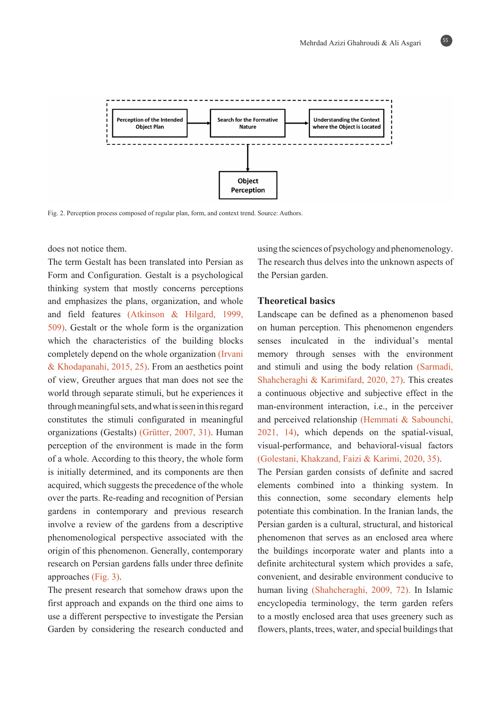

Fig. 2. Perception process composed of regular plan, form, and context trend. Source: Authors.

# does not notice them.

The term Gestalt has been translated into Persian as Form and Configuration. Gestalt is a psychological thinking system that mostly concerns perceptions and emphasizes the plans, organization, and whole and field features (Atkinson  $\&$  Hilgard, 1999,  $509$ . Gestalt or the whole form is the organization which the characteristics of the building blocks completely depend on the whole organization (Irvani  $&$  Khodapanahi, 2015, 25). From an aesthetics point of view, Greuther argues that man does not see the world through separate stimuli, but he experiences it through meaningful sets, and what is seen in this regard constitutes the stimuli configurated in meaningful organizations (Gestalts) (Grütter, 2007, 31). Human perception of the environment is made in the form of a whole. According to this theory, the whole form is initially determined, and its components are then acquired, which suggests the precedence of the whole over the parts. Re-reading and recognition of Persian gardens in contemporary and previous research involve a review of the gardens from a descriptive phenomenological perspective associated with the origin of this phenomenon. Generally, contemporary research on Persian gardens falls under three definite approaches  $(Fig. 3)$ .

The present research that somehow draws upon the first approach and expands on the third one aims to use a different perspective to investigate the Persian Garden by considering the research conducted and

using the sciences of psychology and phenomenology. The research thus delves into the unknown aspects of the Persian garden.

## **Theoretical basics**

Landscape can be defined as a phenomenon based on human perception. This phenomenon engenders senses inculcated in the individual's mental memory through senses with the environment and stimuli and using the body relation (Sarmadi, Shahcheraghi & Karimifard,  $2020$ ,  $27$ ). This creates a continuous objective and subjective effect in the man-environment interaction, i.e., in the perceiver and perceived relationship (Hemmati  $&$  Sabounchi,  $2021, 14$ , which depends on the spatial-visual, visual-performance, and behavioral-visual factors (Golestani, Khakzand, Faizi & Karimi, 2020, 35).

The Persian garden consists of definite and sacred elements combined into a thinking system. In this connection, some secondary elements help potentiate this combination. In the Iranian lands, the Persian garden is a cultural, structural, and historical phenomenon that serves as an enclosed area where the buildings incorporate water and plants into a definite architectural system which provides a safe, convenient, and desirable environment conducive to human living (Shahcheraghi, 2009, 72). In Islamic encyclopedia terminology, the term garden refers to a mostly enclosed area that uses greenery such as flowers, plants, trees, water, and special buildings that

55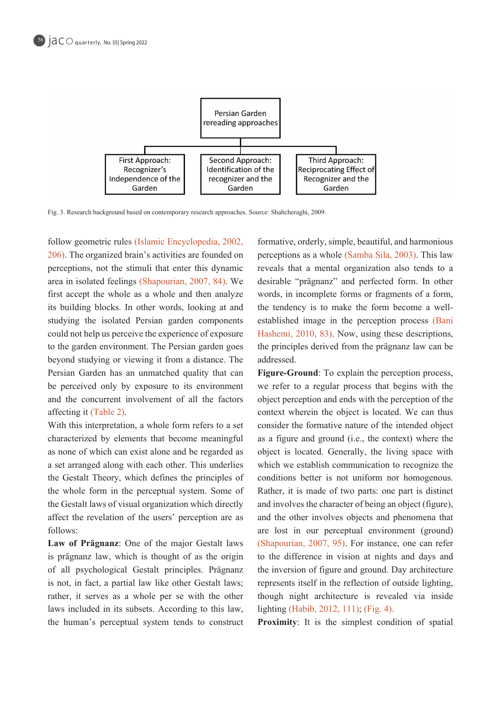

Fig. 3. Research background based on contemporary research approaches. Source: Shahcheraghi, 2009.

follow geometric rules (Islamic Encyclopedia, 2002,  $(206)$ . The organized brain's activities are founded on perceptions, not the stimuli that enter this dynamic area in isolated feelings (Shapourian, 2007, 84). We first accept the whole as a whole and then analyze its building blocks. In other words, looking at and studying the isolated Persian garden components could not help us perceive the experience of exposure to the garden environment. The Persian garden goes beyond studying or viewing it from a distance. The Persian Garden has an unmatched quality that can be perceived only by exposure to its environment and the concurrent involvement of all the factors affecting it  $(Table 2)$ .

With this interpretation, a whole form refers to a set characterized by elements that become meaningful as none of which can exist alone and be regarded as a set arranged along with each other. This underlies the Gestalt Theory, which defines the principles of the whole form in the perceptual system. Some of the Gestalt laws of visual organization which directly affect the revelation of the users' perception are as :follows

Law of Prägnanz: One of the major Gestalt laws is prägnanz law, which is thought of as the origin of all psychological Gestalt principles. Prägnanz is not, in fact, a partial law like other Gestalt laws; rather, it serves as a whole per se with the other laws included in its subsets. According to this law, the human's perceptual system tends to construct

formative, orderly, simple, beautiful, and harmonious perceptions as a whole (Samba Sila, 2003). This law reveals that a mental organization also tends to a desirable "prägnanz" and perfected form. In other words, in incomplete forms or fragments of a form, established image in the perception process (Bani the tendency is to make the form become a well-Hashemi, 2010, 83). Now, using these descriptions, the principles derived from the prägnanz law can be addressed.

Figure-Ground: To explain the perception process, we refer to a regular process that begins with the object perception and ends with the perception of the context wherein the object is located. We can thus consider the formative nature of the intended object as a figure and ground (i.e., the context) where the object is located. Generally, the living space with which we establish communication to recognize the conditions better is not uniform nor homogenous. Rather, it is made of two parts: one part is distinct and involves the character of being an object (figure), and the other involves objects and phenomena that are lost in our perceptual environment (ground) (Shapourian,  $2007$ ,  $95$ ). For instance, one can refer to the difference in vision at nights and days and the inversion of figure and ground. Day architecture represents itself in the reflection of outside lighting, though night architecture is revealed via inside lighting (Habib, 2012, 111); (Fig. 4).

**Proximity:** It is the simplest condition of spatial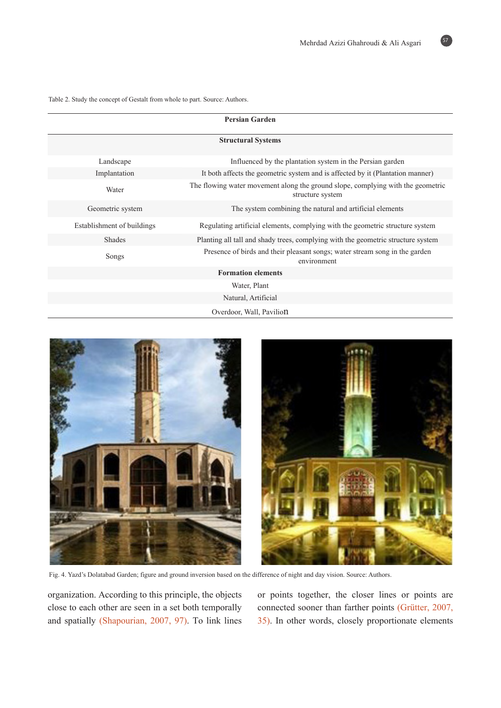Table 2. Study the concept of Gestalt from whole to part. Source: Authors.

| <b>Persian Garden</b>      |                                                                                                     |  |  |  |  |  |  |
|----------------------------|-----------------------------------------------------------------------------------------------------|--|--|--|--|--|--|
| <b>Structural Systems</b>  |                                                                                                     |  |  |  |  |  |  |
| Landscape                  | Influenced by the plantation system in the Persian garden                                           |  |  |  |  |  |  |
| Implantation               | It both affects the geometric system and is affected by it (Plantation manner)                      |  |  |  |  |  |  |
| Water                      | The flowing water movement along the ground slope, complying with the geometric<br>structure system |  |  |  |  |  |  |
| Geometric system           | The system combining the natural and artificial elements                                            |  |  |  |  |  |  |
| Establishment of buildings | Regulating artificial elements, complying with the geometric structure system                       |  |  |  |  |  |  |
| <b>Shades</b>              | Planting all tall and shady trees, complying with the geometric structure system                    |  |  |  |  |  |  |
| Songs                      | Presence of birds and their pleasant songs; water stream song in the garden<br>environment          |  |  |  |  |  |  |
| <b>Formation elements</b>  |                                                                                                     |  |  |  |  |  |  |
|                            | Water, Plant                                                                                        |  |  |  |  |  |  |
| Natural, Artificial        |                                                                                                     |  |  |  |  |  |  |
|                            | Overdoor, Wall, Pavilion                                                                            |  |  |  |  |  |  |



Fig. 4. Yazd's Dolatabad Garden; figure and ground inversion based on the difference of night and day vision. Source: Authors.

organization. According to this principle, the objects close to each other are seen in a set both temporally and spatially (Shapourian, 2007, 97). To link lines or points together, the closer lines or points are connected sooner than farther points (Grütter, 2007, 35). In other words, closely proportionate elements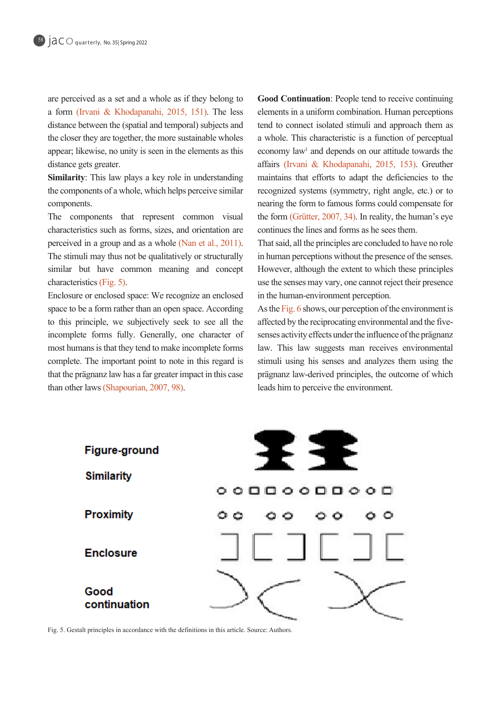are perceived as a set and a whole as if they belong to a form (Irvani & Khodapanahi, 2015, 151). The less distance between the (spatial and temporal) subjects and the closer they are together, the more sustainable wholes appear; likewise, no unity is seen in the elements as this distance gets greater.

**Similarity**: This law plays a key role in understanding the components of a whole, which helps perceive similar .components

The components that represent common visual characteristics such as forms, sizes, and orientation are perceived in a group and as a whole (Nan et al., 2011). The stimuli may thus not be qualitatively or structurally similar but have common meaning and concept characteristics (Fig.  $5$ ).

Enclosure or enclosed space: We recognize an enclosed space to be a form rather than an open space. According to this principle, we subjectively seek to see all the incomplete forms fully. Generally, one character of most humans is that they tend to make incomplete forms complete. The important point to note in this regard is that the prägnanz law has a far greater impact in this case than other laws (Shapourian, 2007, 98).

**Good Continuation:** People tend to receive continuing elements in a uniform combination. Human perceptions tend to connect isolated stimuli and approach them as a whole. This characteristic is a function of perceptual economy law<sup>1</sup> and depends on our attitude towards the affairs (Irvani & Khodapanahi, 2015, 153). Greuther maintains that efforts to adapt the deficiencies to the recognized systems (symmetry, right angle, etc.) or to nearing the form to famous forms could compensate for the form (Grütter, 2007, 34). In reality, the human's eye continues the lines and forms as he sees them.

That said, all the principles are concluded to have no role in human perceptions without the presence of the senses. However, although the extent to which these principles use the senses may vary, one cannot reject their presence in the human-environment perception.

As the Fig. 6 shows, our perception of the environment is senses activity effects under the influence of the prägnanz affected by the reciprocating environmental and the fivelaw. This law suggests man receives environmental stimuli using his senses and analyzes them using the prägnanz law-derived principles, the outcome of which leads him to perceive the environment.



Fig. 5. Gestalt principles in accordance with the definitions in this article. Source: Authors.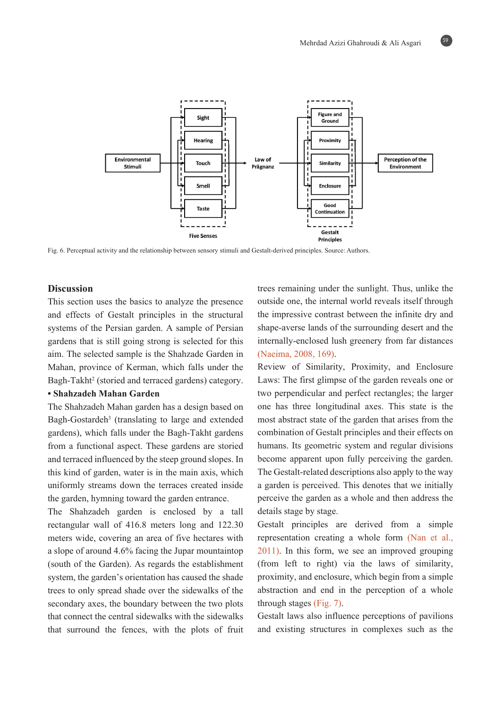

Fig. 6. Perceptual activity and the relationship between sensory stimuli and Gestalt-derived principles. Source: Authors.

# **Discussion**

This section uses the basics to analyze the presence and effects of Gestalt principles in the structural systems of the Persian garden. A sample of Persian gardens that is still going strong is selected for this aim. The selected sample is the Shahzade Garden in Mahan, province of Kerman, which falls under the Bagh-Takht<sup>2</sup> (storied and terraced gardens) category.

# **• Shahzadeh Mahan Garden**

The Shahzadeh Mahan garden has a design based on Bagh-Gostardeh<sup>3</sup> (translating to large and extended gardens), which falls under the Bagh-Takht gardens from a functional aspect. These gardens are storied and terraced influenced by the steep ground slopes. In this kind of garden, water is in the main axis, which uniformly streams down the terraces created inside the garden, hymning toward the garden entrance.

The Shahzadeh garden is enclosed by a tall rectangular wall of  $416.8$  meters long and  $122.30$ meters wide, covering an area of five hectares with a slope of around  $4.6\%$  facing the Jupar mountaintop (south of the Garden). As regards the establishment system, the garden's orientation has caused the shade trees to only spread shade over the sidewalks of the secondary axes, the boundary between the two plots that connect the central sidewalks with the sidewalks that surround the fences, with the plots of fruit trees remaining under the sunlight. Thus, unlike the outside one, the internal world reveals itself through the impressive contrast between the infinite dry and shape-averse lands of the surrounding desert and the internally-enclosed lush greenery from far distances (Naeima, 2008, 169).

Review of Similarity, Proximity, and Enclosure Laws: The first glimpse of the garden reveals one or two perpendicular and perfect rectangles; the larger one has three longitudinal axes. This state is the most abstract state of the garden that arises from the combination of Gestalt principles and their effects on humans. Its geometric system and regular divisions become apparent upon fully perceiving the garden. The Gestalt-related descriptions also apply to the way a garden is perceived. This denotes that we initially perceive the garden as a whole and then address the details stage by stage.

Gestalt principles are derived from a simple representation creating a whole form (Nan et al.,  $2011$ ). In this form, we see an improved grouping (from left to right) via the laws of similarity, proximity, and enclosure, which begin from a simple abstraction and end in the perception of a whole through stages  $(Fig, 7)$ .

Gestalt laws also influence perceptions of pavilions and existing structures in complexes such as the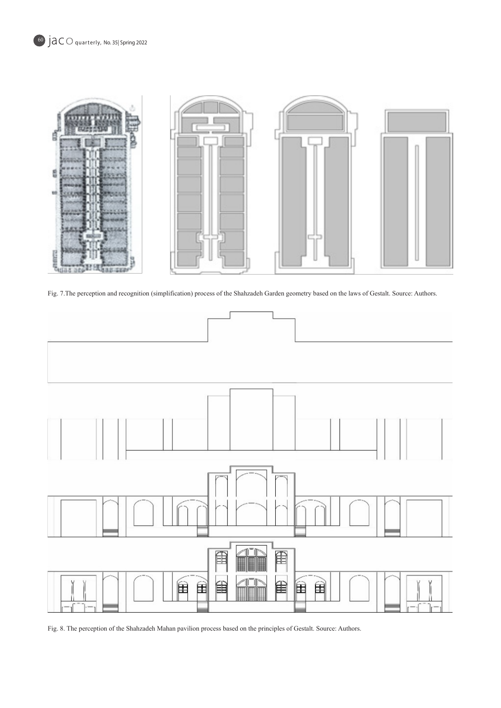

Fig. 7. The perception and recognition (simplification) process of the Shahzadeh Garden geometry based on the laws of Gestalt. Source: Authors.



Fig. 8. The perception of the Shahzadeh Mahan pavilion process based on the principles of Gestalt. Source: Authors.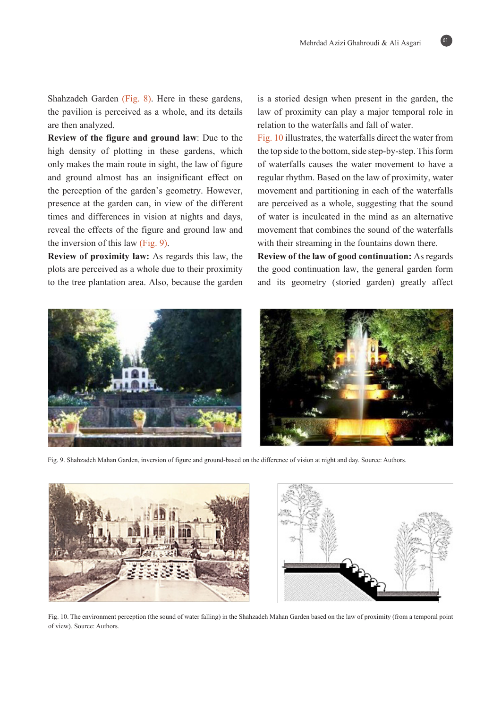Shahzadeh Garden (Fig. 8). Here in these gardens, the pavilion is perceived as a whole, and its details are then analyzed.

**Review of the figure and ground law:** Due to the high density of plotting in these gardens, which only makes the main route in sight, the law of figure and ground almost has an insignificant effect on the perception of the garden's geometry. However, presence at the garden can, in view of the different times and differences in vision at nights and days, reveal the effects of the figure and ground law and the inversion of this law  $(Fig. 9)$ .

**Review of proximity law:** As regards this law, the plots are perceived as a whole due to their proximity to the tree plantation area. Also, because the garden is a storied design when present in the garden, the law of proximity can play a major temporal role in relation to the waterfalls and fall of water.

Fig. 10 illustrates, the waterfalls direct the water from the top side to the bottom, side step-by-step. This form of waterfalls causes the water movement to have a regular rhythm. Based on the law of proximity, water movement and partitioning in each of the waterfalls are perceived as a whole, suggesting that the sound of water is inculcated in the mind as an alternative movement that combines the sound of the waterfalls with their streaming in the fountains down there.

**Review of the law of good continuation:** As regards the good continuation law, the general garden form and its geometry (storied garden) greatly affect



Fig. 9. Shahzadeh Mahan Garden, inversion of figure and ground-based on the difference of vision at night and day. Source: Authors.



Fig. 10. The environment perception (the sound of water falling) in the Shahzadeh Mahan Garden based on the law of proximity (from a temporal point of view). Source: Authors.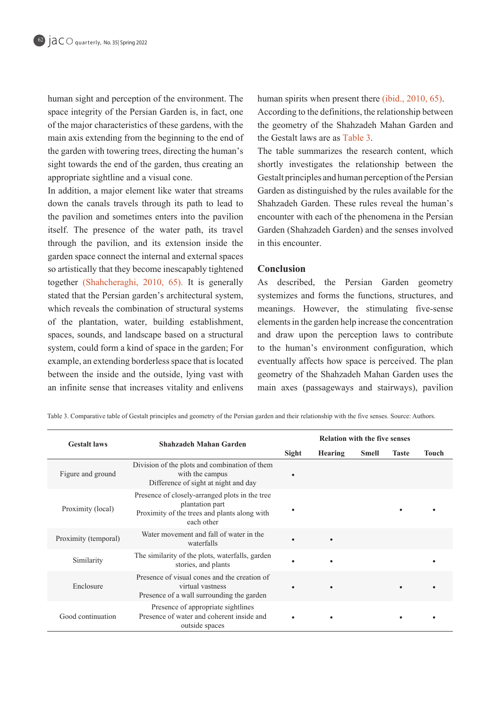human sight and perception of the environment. The space integrity of the Persian Garden is, in fact, one of the major characteristics of these gardens, with the main axis extending from the beginning to the end of the garden with towering trees, directing the human's sight towards the end of the garden, thus creating an appropriate sightline and a visual cone.

In addition, a major element like water that streams down the canals travels through its path to lead to the pavilion and sometimes enters into the pavilion itself. The presence of the water path, its travel through the pavilion, and its extension inside the garden space connect the internal and external spaces so artistically that they become inescapably tightened together (Shahcheraghi, 2010, 65). It is generally stated that the Persian garden's architectural system, which reveals the combination of structural systems of the plantation, water, building establishment, spaces, sounds, and landscape based on a structural system, could form a kind of space in the garden; For example, an extending borderless space that is located between the inside and the outside, lying vast with an infinite sense that increases vitality and enlivens

human spirits when present there (ibid.,  $2010, 65$ ). According to the definitions, the relationship between the geometry of the Shahzadeh Mahan Garden and the Gestalt laws are as Table 3.

The table summarizes the research content, which shortly investigates the relationship between the Gestalt principles and human perception of the Persian Garden as distinguished by the rules available for the Shahzadeh Garden. These rules reveal the human's encounter with each of the phenomena in the Persian Garden (Shahzadeh Garden) and the senses involved in this encounter.

# **Conclusion**

As described, the Persian Garden geometry systemizes and forms the functions, structures, and meanings. However, the stimulating five-sense elements in the garden help increase the concentration and draw upon the perception laws to contribute to the human's environment configuration, which eventually affects how space is perceived. The plan geometry of the Shahzadeh Mahan Garden uses the main axes (passageways and stairways), pavilion

Table 3. Comparative table of Gestalt principles and geometry of the Persian garden and their relationship with the five senses. Source: Authors.

| <b>Gestalt laws</b>  | Shahzadeh Mahan Garden                                                                                                          | <b>Relation with the five senses</b> |                |              |              |       |
|----------------------|---------------------------------------------------------------------------------------------------------------------------------|--------------------------------------|----------------|--------------|--------------|-------|
|                      |                                                                                                                                 | Sight                                | <b>Hearing</b> | <b>Smell</b> | <b>Taste</b> | Touch |
| Figure and ground    | Division of the plots and combination of them<br>with the campus<br>Difference of sight at night and day                        |                                      |                |              |              |       |
| Proximity (local)    | Presence of closely-arranged plots in the tree<br>plantation part<br>Proximity of the trees and plants along with<br>each other |                                      |                |              |              |       |
| Proximity (temporal) | Water movement and fall of water in the<br>waterfalls                                                                           |                                      |                |              |              |       |
| Similarity           | The similarity of the plots, waterfalls, garden<br>stories, and plants                                                          |                                      |                |              |              |       |
| Enclosure            | Presence of visual cones and the creation of<br>virtual vastness<br>Presence of a wall surrounding the garden                   |                                      |                |              |              |       |
| Good continuation    | Presence of appropriate sightlines<br>Presence of water and coherent inside and<br>outside spaces                               |                                      |                |              |              |       |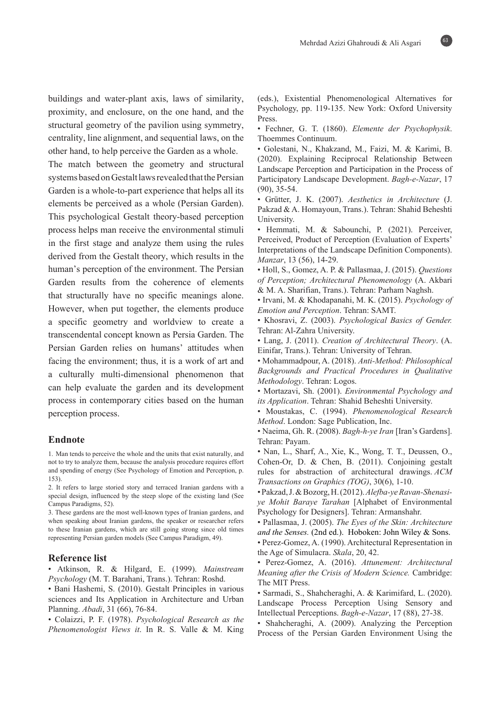buildings and water-plant axis, laws of similarity, proximity, and enclosure, on the one hand, and the structural geometry of the pavilion using symmetry, centrality, line alignment, and sequential laws, on the other hand, to help perceive the Garden as a whole.

The match between the geometry and structural systems based on Gestalt laws revealed that the Persian Garden is a whole-to-part experience that helps all its elements be perceived as a whole (Persian Garden). This psychological Gestalt theory-based perception process helps man receive the environmental stimuli in the first stage and analyze them using the rules derived from the Gestalt theory, which results in the human's perception of the environment. The Persian Garden results from the coherence of elements that structurally have no specific meanings alone. However, when put together, the elements produce a specific geometry and worldview to create a transcendental concept known as Persia Garden. The Persian Garden relies on humans' attitudes when facing the environment; thus, it is a work of art and a culturally multi-dimensional phenomenon that can help evaluate the garden and its development process in contemporary cities based on the human perception process.

### **Endnote**

1. Man tends to perceive the whole and the units that exist naturally, and not to try to analyze them, because the analysis procedure requires effort and spending of energy (See Psychology of Emotion and Perception, p.  $(153)$ .

2. It refers to large storied story and terraced Iranian gardens with a special design, influenced by the steep slope of the existing land (See Campus Paradigms, 52).

3. These gardens are the most well-known types of Iranian gardens, and when speaking about Iranian gardens, the speaker or researcher refers to these Iranian gardens, which are still going strong since old times representing Persian garden models (See Campus Paradigm, 49).

#### **Reference** list

• Atkinson, R. & Hilgard, E. (1999). Mainstream  $Psychology$  (M. T. Barahani, Trans.). Tehran: Roshd.

• Bani Hashemi, S. (2010). Gestalt Principles in various sciences and Its Application in Architecture and Urban Planning. Abadi, 31 (66), 76-84.

• Colaizzi, P. F. (1978). *Psychological Research as the* Phenomenologist Views it. In R. S. Valle & M. King

63

(eds.), Existential Phenomenological Alternatives for Psychology, pp. 119-135. New York: Oxford University Press.

• Fechner, G. T. (1860). Elemente der Psychophysik. Thoemmes Continuum.

· Golestani, N., Khakzand, M., Faizi, M. & Karimi, B. (2020). Explaining Reciprocal Relationship Between Landscape Perception and Participation in the Process of Participatory Landscape Development. Bagh-e-Nazar, 17  $(90), 35-54.$ 

• Grütter, J. K. (2007). Aesthetics in Architecture (J. Pakzad & A. Homayoun, Trans.). Tehran: Shahid Beheshti University.

• Hemmati, M. & Sabounchi, P. (2021). Perceiver, Perceived, Product of Perception (Evaluation of Experts' Interpretations of the Landscape Definition Components). *Manzar*, 13 (56), 14-29.

• Holl, S., Gomez, A. P. & Pallasmaa, J. (2015). Questions of Perception; Architectural Phenomenology (A. Akbari & M. A. Sharifian, Trans.). Tehran: Parham Naghsh.

• Irvani, M. & Khodapanahi, M. K. (2015). Psychology of Emotion and Perception. Tehran: SAMT.

• Khosravi, Z. (2003). Psychological Basics of Gender. Tehran: Al-Zahra University.

• Lang, J. (2011). Creation of Architectural Theory. (A. Einifar, Trans.). Tehran: University of Tehran.

• Mohammadpour, A. (2018). Anti-Method: Philosophical Backgrounds and Practical Procedures in Qualitative Methodology. Tehran: Logos.

• Mortazavi, Sh. (2001). *Environmental Psychology and* its Application. Tehran: Shahid Beheshti University.

• Moustakas, C. (1994). Phenomenological Research Method. London: Sage Publication, Inc.

• Naeima, Gh. R. (2008). Bagh-h-ye Iran [Iran's Gardens]. Tehran: Payam.

- Nan, L., Sharf, A., Xie, K., Wong, T. T., Deussen, O., Cohen-Or, D. & Chen, B.  $(2011)$ . Conjoining gestalt rules for abstraction of architectural drawings. ACM Transactions on Graphics (TOG), 30(6), 1-10.
- Pakzad, J. & Bozorg, H. (2012). Alefba-ye Ravan-Shenasi-<br>ye-Mohit Baraye-Tarahan [Alphabet of Environmental Psychology for Designers]. Tehran: Armanshahr.
- Pallasmaa, J. (2005). The Eyes of the Skin: Architecture *and the Senses.* (2nd ed.). Hoboken: John Wiley & Sons. • Perez-Gomez, A. (1990). Architectural Representation in the Age of Simulacra. Skala, 20, 42.
- Perez-Gomez, A. (2016). Attunement: Architectural *Meaning after the Crisis of Modern Science. Cambridge:* The MIT Press.
- · Sarmadi, S., Shahcheraghi, A. & Karimifard, L. (2020). Landscape Process Perception Using Sensory and Intellectual Perceptions. *Bagh-e-Nazar*, 17 (88), 27-38.
- Shahcheraghi, A. (2009). Analyzing the Perception Process of the Persian Garden Environment Using the